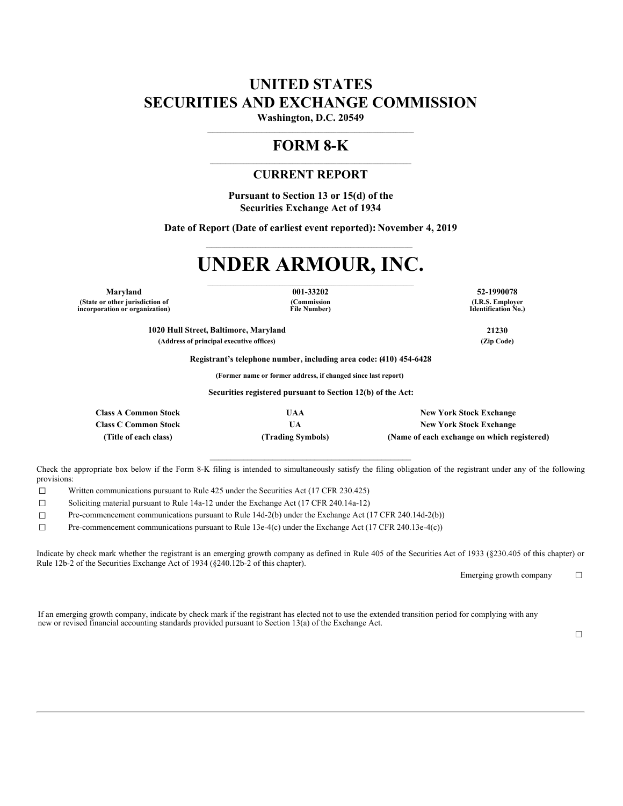# **UNITED STATES SECURITIES AND EXCHANGE COMMISSION**

**Washington, D.C. 20549**

# **FORM 8-K**

# **CURRENT REPORT**

**Pursuant to Section 13 or 15(d) of the Securities Exchange Act of 1934**

**Date of Report (Date of earliest event reported): November 4, 2019**

# **UNDER ARMOUR, INC.**

**Maryland 001-33202 52-1990078 (State or other jurisdiction of incorporation or organization)**

**(Commission File Number)**

**(I.R.S. Employer Identification No.)**

**1020 Hull Street, Baltimore, Maryland 21230 (Address of principal executive offices) (Zip Code)**

**Registrant's telephone number, including area code: (410) 454-6428**

**(Former name or former address, if changed since last report)**

**Securities registered pursuant to Section 12(b) of the Act:**

| (Title of each class)       | (Trading Symbols) | (Name of each exchange on which registered) |
|-----------------------------|-------------------|---------------------------------------------|
| <b>Class C Common Stock</b> | UA                | <b>New York Stock Exchange</b>              |
| <b>Class A Common Stock</b> | UAA               | <b>New York Stock Exchange</b>              |

Check the appropriate box below if the Form 8-K filing is intended to simultaneously satisfy the filing obligation of the registrant under any of the following provisions:

☐ Written communications pursuant to Rule 425 under the Securities Act (17 CFR 230.425)

☐ Soliciting material pursuant to Rule 14a-12 under the Exchange Act (17 CFR 240.14a-12)

☐ Pre-commencement communications pursuant to Rule 14d-2(b) under the Exchange Act (17 CFR 240.14d-2(b))

☐ Pre-commencement communications pursuant to Rule 13e-4(c) under the Exchange Act (17 CFR 240.13e-4(c))

Indicate by check mark whether the registrant is an emerging growth company as defined in Rule 405 of the Securities Act of 1933 (§230.405 of this chapter) or Rule 12b-2 of the Securities Exchange Act of 1934 (§240.12b-2 of this chapter).

Emerging growth company  $\Box$ 

If an emerging growth company, indicate by check mark if the registrant has elected not to use the extended transition period for complying with any new or revised financial accounting standards provided pursuant to Section 13(a) of the Exchange Act.

☐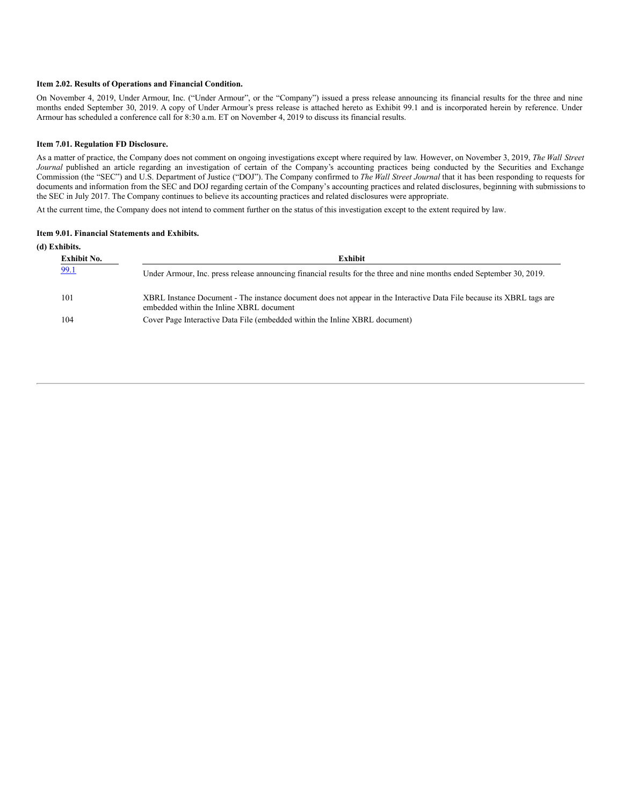#### **Item 2.02. Results of Operations and Financial Condition.**

On November 4, 2019, Under Armour, Inc. ("Under Armour", or the "Company") issued a press release announcing its financial results for the three and nine months ended September 30, 2019. A copy of Under Armour's press release is attached hereto as Exhibit 99.1 and is incorporated herein by reference. Under Armour has scheduled a conference call for 8:30 a.m. ET on November 4, 2019 to discuss its financial results.

#### **Item 7.01. Regulation FD Disclosure.**

As a matter of practice, the Company does not comment on ongoing investigations except where required by law. However, on November 3, 2019, *The Wall Street Journal* published an article regarding an investigation of certain of the Company's accounting practices being conducted by the Securities and Exchange Commission (the "SEC") and U.S. Department of Justice ("DOJ"). The Company confirmed to *The Wall Street Journal* that it has been responding to requests for documents and information from the SEC and DOJ regarding certain of the Company's accounting practices and related disclosures, beginning with submissions to the SEC in July 2017. The Company continues to believe its accounting practices and related disclosures were appropriate.

At the current time, the Company does not intend to comment further on the status of this investigation except to the extent required by law.

#### **Item 9.01. Financial Statements and Exhibits.**

| (d) Exhibits.      |                                                                                                                                                                   |
|--------------------|-------------------------------------------------------------------------------------------------------------------------------------------------------------------|
| <b>Exhibit No.</b> | Exhibit                                                                                                                                                           |
| 99.1               | Under Armour, Inc. press release announcing financial results for the three and nine months ended September 30, 2019.                                             |
| 101                | XBRL Instance Document - The instance document does not appear in the Interactive Data File because its XBRL tags are<br>embedded within the Inline XBRL document |
| 104                | Cover Page Interactive Data File (embedded within the Inline XBRL document)                                                                                       |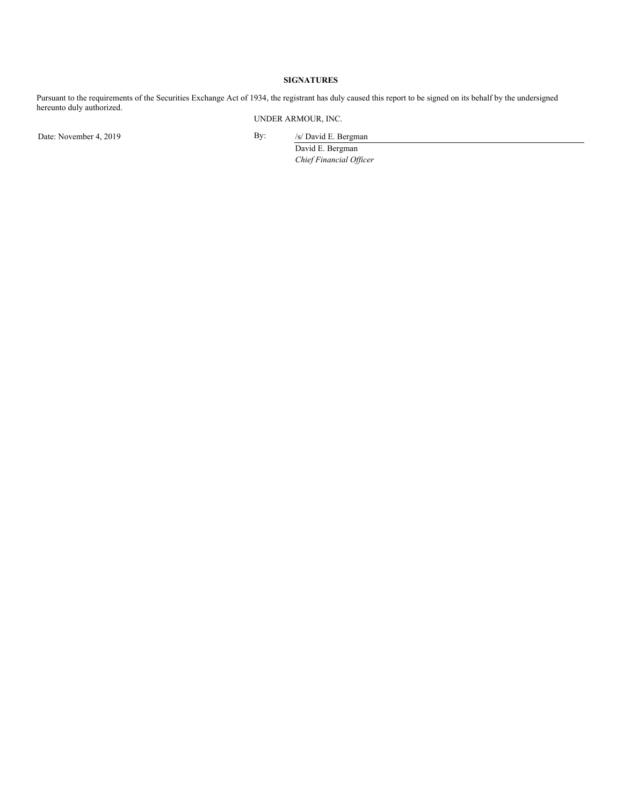#### **SIGNATURES**

Pursuant to the requirements of the Securities Exchange Act of 1934, the registrant has duly caused this report to be signed on its behalf by the undersigned hereunto duly authorized.

UNDER ARMOUR, INC.

Date: November 4, 2019 By: /s/ David E. Bergman

David E. Bergman *Chief Financial Of icer*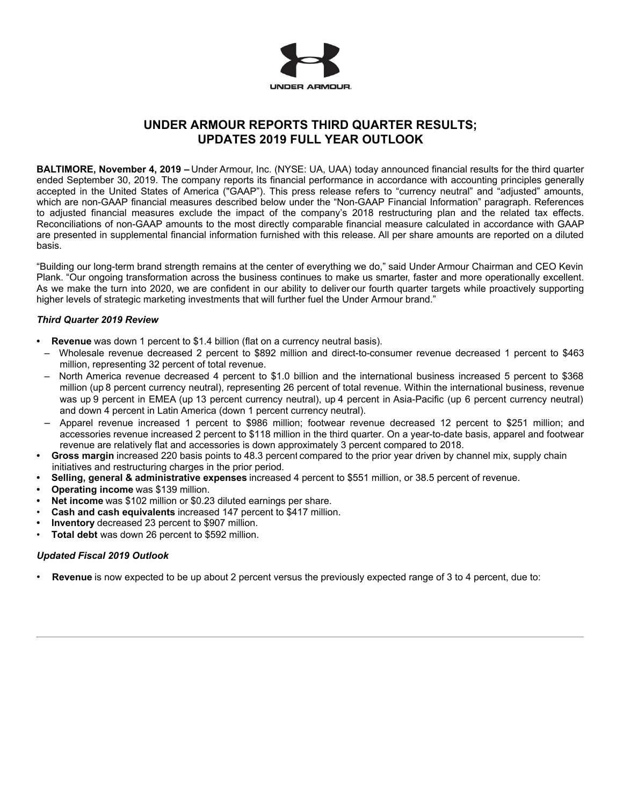

# **UNDER ARMOUR REPORTS THIRD QUARTER RESULTS; UPDATES 2019 FULL YEAR OUTLOOK**

<span id="page-3-0"></span>**BALTIMORE, November 4, 2019 –** Under Armour, Inc. (NYSE: UA, UAA) today announced financial results for the third quarter ended September 30, 2019. The company reports its financial performance in accordance with accounting principles generally accepted in the United States of America ("GAAP"). This press release refers to "currency neutral" and "adjusted" amounts, which are non-GAAP financial measures described below under the "Non-GAAP Financial Information" paragraph. References to adjusted financial measures exclude the impact of the company's 2018 restructuring plan and the related tax effects. Reconciliations of non-GAAP amounts to the most directly comparable financial measure calculated in accordance with GAAP are presented in supplemental financial information furnished with this release. All per share amounts are reported on a diluted basis.

"Building our long-term brand strength remains at the center of everything we do," said Under Armour Chairman and CEO Kevin Plank. "Our ongoing transformation across the business continues to make us smarter, faster and more operationally excellent. As we make the turn into 2020, we are confident in our ability to deliver our fourth quarter targets while proactively supporting higher levels of strategic marketing investments that will further fuel the Under Armour brand."

## *Third Quarter 2019 Review*

- **• Revenue** was down 1 percent to \$1.4 billion (flat on a currency neutral basis).
- Wholesale revenue decreased 2 percent to \$892 million and direct-to-consumer revenue decreased 1 percent to \$463 million, representing 32 percent of total revenue.
- North America revenue decreased 4 percent to \$1.0 billion and the international business increased 5 percent to \$368 million (up 8 percent currency neutral), representing 26 percent of total revenue. Within the international business, revenue was up 9 percent in EMEA (up 13 percent currency neutral), up 4 percent in Asia-Pacific (up 6 percent currency neutral) and down 4 percent in Latin America (down 1 percent currency neutral).
- Apparel revenue increased 1 percent to \$986 million; footwear revenue decreased 12 percent to \$251 million; and accessories revenue increased 2 percent to \$118 million in the third quarter. On a year-to-date basis, apparel and footwear revenue are relatively flat and accessories is down approximately 3 percent compared to 2018.
- **• Gross margin** increased 220 basis points to 48.3 percent compared to the prior year driven by channel mix, supply chain initiatives and restructuring charges in the prior period.
- **• Selling, general & administrative expenses** increased 4 percent to \$551 million, or 38.5 percent of revenue.
- **• Operating income** was \$139 million.
- **• Net income** was \$102 million or \$0.23 diluted earnings per share.
- **Cash and cash equivalents** increased 147 percent to \$417 million.
- **• Inventory** decreased 23 percent to \$907 million.
- **Total debt** was down 26 percent to \$592 million.

# *Updated Fiscal 2019 Outlook*

• **Revenue** is now expected to be up about 2 percent versus the previously expected range of 3 to 4 percent, due to: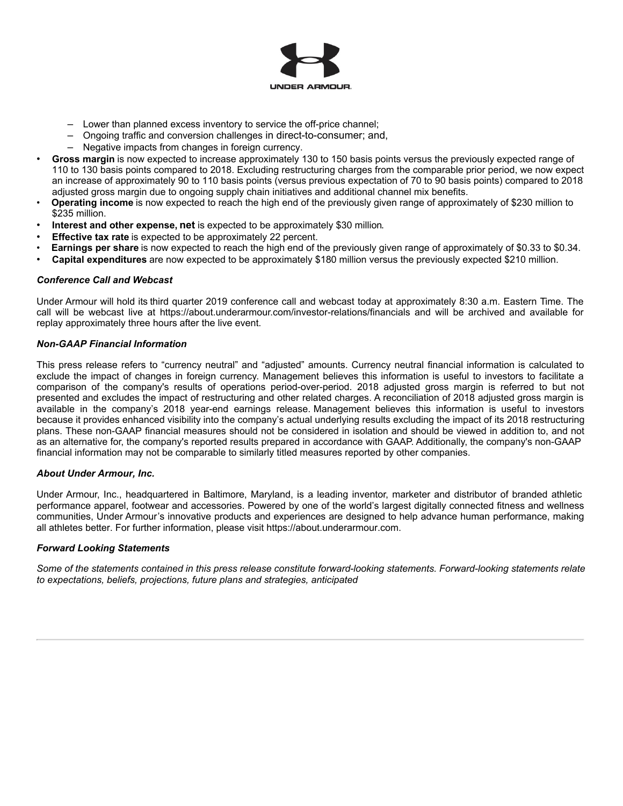

- Lower than planned excess inventory to service the off-price channel;
- Ongoing traffic and conversion challenges in direct-to-consumer; and,
- Negative impacts from changes in foreign currency.
- **Gross margin** is now expected to increase approximately 130 to 150 basis points versus the previously expected range of 110 to 130 basis points compared to 2018. Excluding restructuring charges from the comparable prior period, we now expect an increase of approximately 90 to 110 basis points (versus previous expectation of 70 to 90 basis points) compared to 2018 adjusted gross margin due to ongoing supply chain initiatives and additional channel mix benefits.
- **Operating income** is now expected to reach the high end of the previously given range of approximately of \$230 million to \$235 million.
- **Interest and other expense, net** is expected to be approximately \$30 million.
- **Effective tax rate** is expected to be approximately 22 percent.
- **Earnings per share** is now expected to reach the high end of the previously given range of approximately of \$0.33 to \$0.34.
- **C[apit](#page-3-0)al expenditures** are now expected to be approximately \$180 million versus the previously expected \$210 million.

#### *Conference Call and Webcast*

Under Armour will hold its third quarter 2019 conference call and webcast today at approximately 8:30 a.m. Eastern Time. The call will be webcast live at https://about.underarmour.com/investor-relations/financials and will be archived and available for replay approximately three hours after the live event.

#### *Non-GAAP Financial Information*

This press release refers to "currency neutral" and "adjusted" amounts. Currency neutral financial information is calculated to exclude the impact of changes in foreign currency. Management believes this information is useful to investors to facilitate a comparison of the company's results of operations period-over-period. 2018 adjusted gross margin is referred to but not presented and excludes the impact of restructuring and other related charges. A reconciliation of 2018 adjusted gross margin is available in the company's 2018 year-end earnings release. Management believes this information is useful to investors because it provides enhanced visibility into the company's actual underlying results excluding the impact of its 2018 restructuring plans. These non-GAAP financial measures should not be considered in isolation and should be viewed in addition to, and not as an alternative for, the company's reported results prepared in accordance with GAAP. Additionally, the company's non-GAAP financial information may not be comparable to similarly titled measures reported by other companies.

#### *About Under Armour, Inc.*

Under Armour, Inc., headquartered in Baltimore, Maryland, is a leading inventor, marketer and distributor of branded athletic performance apparel, footwear and accessories. Powered by one of the world's largest digitally connected fitness and wellness communities, Under Armour's innovative products and experiences are designed to help advance human performance, making all athletes better. For further information, please visit https://about.underarmour.com.

#### *Forward Looking Statements*

Some of the statements contained in this press release constitute forward-looking statements. Forward-looking statements relate *to expectations, beliefs, projections, future plans and strategies, anticipated*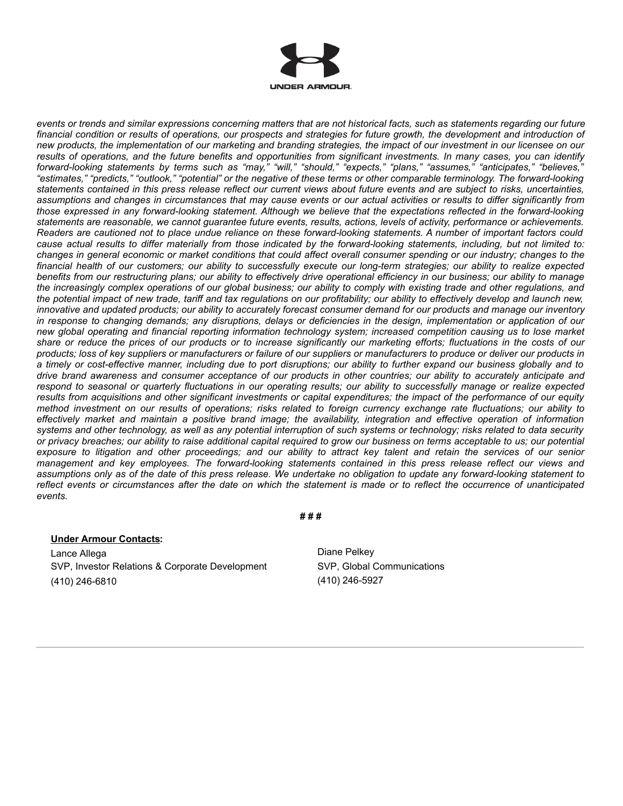

events or trends and similar expressions concerning matters that are not historical facts, such as statements regarding our future financial condition or results of operations, our prospects and strategies for future growth, the development and introduction of new products, the implementation of our marketing and branding strategies, the impact of our investment in our licensee on our results of operations, and the future benefits and opportunities from significant investments. In many cases, you can identify *forward-looking statements by terms such as "may," "will," "should," "expects," "plans," "assumes," "anticipates," "believes,"* "estimates," "predicts," "outlook," "potential" or the negative of these terms or other comparable terminology. The forward-looking statements contained in this press release reflect our current views about future events and are subject to risks, uncertainties, assumptions and changes in circumstances that may cause events or our actual activities or results to differ significantly from those expressed in any forward-looking statement. Although we believe that the expectations reflected in the forward-looking statements are reasonable, we cannot quarantee future events, results, actions, levels of activity, performance or achievements. Readers are cautioned not to place undue reliance on these forward-looking statements. A number of important factors could cause actual results to differ materially from those indicated by the forward-looking statements, including, but not limited to: changes in general economic or market conditions that could affect overall consumer spending or our industry; changes to the financial health of our customers: our ability to successfully execute our long-term strategies; our ability to realize expected benefits from our restructuring plans; our ability to effectively drive operational efficiency in our business; our ability to manage the increasingly complex operations of our global business; our ability to comply with existing trade and other regulations, and the potential impact of new trade, tariff and tax regulations on our profitability; our ability to effectively develop and launch new, innovative and updated products; our ability to accurately forecast consumer demand for our products and manage our inventory in response to changing demands; any disruptions, delays or deficiencies in the design, implementation or application of our new global operating and financial reporting information technology system; increased competition causing us to lose market share or reduce the prices of our products or to increase significantly our marketing efforts; fluctuations in the costs of our products; loss of key suppliers or manufacturers or failure of our suppliers or manufacturers to produce or deliver our products in a timely or cost-effective manner, including due to port disruptions; our ability to further expand our business globally and to drive brand awareness and consumer acceptance of our products in other countries; our ability to accurately anticipate and respond to seasonal or quarterly fluctuations in our operating results; our ability to successfully manage or realize expected results from acquisitions and other significant investments or capital expenditures; the impact of the performance of our equity method investment on our results of operations; risks related to foreign currency exchange rate fluctuations; our ability to effectively market and maintain a positive brand image; the availability, integration and effective operation of information systems and other technology, as well as any potential interruption of such systems or technology; risks related to data security or privacy breaches; our ability to raise additional capital required to grow our business on terms acceptable to us; our potential exposure to litigation and other proceedings; and our ability to attract key talent and retain the services of our senior management and key employees. The forward-looking statements contained in this press release reflect our views and assumptions only as of the date of this press release. We undertake no obligation to update any forward-looking statement to reflect events or circumstances after the date on which the statement is made or to reflect the occurrence of unanticipated *events.*

**# # #**

#### **Under Armour Contacts:**

Lance Allega **Diane Pelkey** SVP, Investor Relations & Corporate Development SVP, Global Communications (410) 246-6810 (410) 246-5927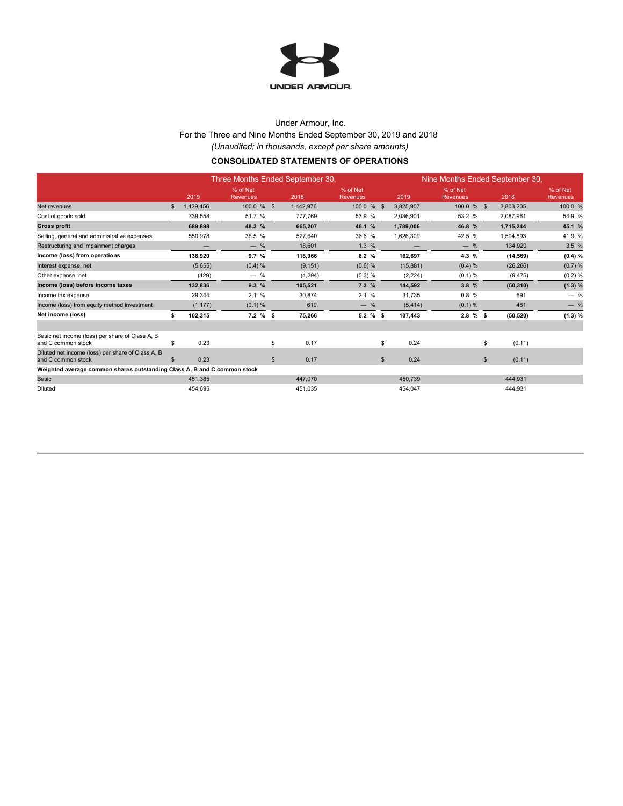

# Under Armour, Inc. For the Three and Nine Months Ended September 30, 2019 and 2018 *(Unaudited; in thousands, except per share amounts)*

# **CONSOLIDATED STATEMENTS OF OPERATIONS**

|                                                                          |              | Three Months Ended September 30, |                             |            |                |           |                             | Nine Months Ended September 30, |           |                             |  |              |           |                      |
|--------------------------------------------------------------------------|--------------|----------------------------------|-----------------------------|------------|----------------|-----------|-----------------------------|---------------------------------|-----------|-----------------------------|--|--------------|-----------|----------------------|
|                                                                          |              | 2019                             | % of Net<br><b>Revenues</b> |            |                | 2018      | % of Net<br><b>Revenues</b> |                                 | 2019      | % of Net<br><b>Revenues</b> |  |              | 2018      | % of Net<br>Revenues |
| Net revenues                                                             | $\mathbb{S}$ | 1,429,456                        |                             | 100.0 % \$ |                | 1,442,976 | 100.0 % \$                  |                                 | 3,825,907 | 100.0 % \$                  |  |              | 3,803,205 | 100.0 %              |
| Cost of goods sold                                                       |              | 739,558                          |                             | 51.7 %     |                | 777,769   | 53.9 %                      |                                 | 2,036,901 | 53.2 %                      |  |              | 2,087,961 | 54.9 %               |
| <b>Gross profit</b>                                                      |              | 689,898                          |                             | 48.3 %     |                | 665,207   | 46.1 %                      |                                 | 1,789,006 | 46.8 %                      |  |              | 1,715,244 | 45.1 %               |
| Selling, general and administrative expenses                             |              | 550,978                          |                             | 38.5 %     |                | 527,640   | 36.6 %                      |                                 | 1,626,309 | 42.5 %                      |  |              | 1,594,893 | 41.9 %               |
| Restructuring and impairment charges                                     |              |                                  |                             | $-$ %      |                | 18,601    | 1.3%                        |                                 |           | $-$ %                       |  |              | 134,920   | 3.5 %                |
| Income (loss) from operations                                            |              | 138.920                          |                             | 9.7%       |                | 118,966   | 8.2%                        |                                 | 162,697   | 4.3 %                       |  |              | (14, 569) | (0.4) %              |
| Interest expense, net                                                    |              | (5,655)                          |                             | (0.4) %    |                | (9, 151)  | $(0.6)$ %                   |                                 | (15, 881) | (0.4) %                     |  |              | (26, 266) | (0.7) %              |
| Other expense, net                                                       |              | (429)                            |                             | $-$ %      |                | (4,294)   | (0.3) %                     |                                 | (2, 224)  | (0.1) %                     |  |              | (9, 475)  | (0.2) %              |
| Income (loss) before income taxes                                        |              | 132,836                          |                             | 9.3%       |                | 105,521   | 7.3%                        |                                 | 144,592   | 3.8%                        |  |              | (50, 310) | (1.3) %              |
| Income tax expense                                                       |              | 29,344                           |                             | 2.1%       |                | 30,874    | 2.1%                        |                                 | 31,735    | 0.8%                        |  |              | 691       | $-$ %                |
| Income (loss) from equity method investment                              |              | (1, 177)                         |                             | $(0.1) \%$ |                | 619       | $-$ %                       |                                 | (5, 414)  | (0.1) %                     |  |              | 481       | $-$ %                |
| Net income (loss)                                                        | \$           | 102,315                          |                             | $7.2%$ \$  |                | 75,266    | $5.2 \%$ \$                 |                                 | 107,443   | 2.8%                        |  |              | (50, 520) | (1.3) %              |
|                                                                          |              |                                  |                             |            |                |           |                             |                                 |           |                             |  |              |           |                      |
| Basic net income (loss) per share of Class A, B<br>and C common stock    | \$           | 0.23                             |                             |            | \$             | 0.17      |                             | \$                              | 0.24      |                             |  | \$           | (0.11)    |                      |
| Diluted net income (loss) per share of Class A, B<br>and C common stock  | £.           | 0.23                             |                             |            | $\mathfrak{s}$ | 0.17      |                             | $\mathfrak{s}$                  | 0.24      |                             |  | $\mathbb{S}$ | (0.11)    |                      |
| Weighted average common shares outstanding Class A, B and C common stock |              |                                  |                             |            |                |           |                             |                                 |           |                             |  |              |           |                      |
| <b>Basic</b>                                                             |              | 451,385                          |                             |            |                | 447,070   |                             |                                 | 450,739   |                             |  |              | 444,931   |                      |
| Diluted                                                                  |              | 454,695                          |                             |            |                | 451,035   |                             |                                 | 454,047   |                             |  |              | 444,931   |                      |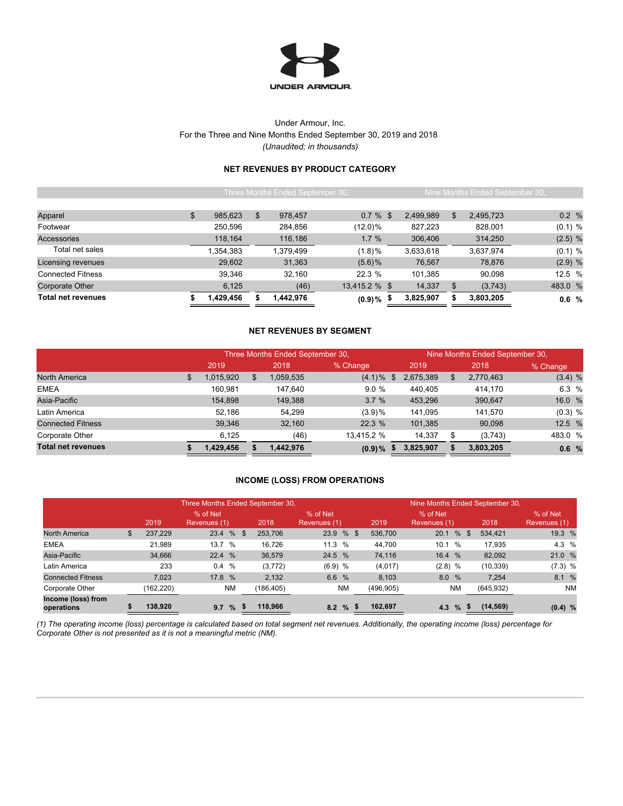

## Under Armour, Inc. For the Three and Nine Months Ended September 30, 2019 and 2018 *(Unaudited; in thousands)*

# **NET REVENUES BY PRODUCT CATEGORY**

|                           | Three Months Ended September 30, |           |    |          |               |  |           | Nine Months Ended September 30, |           |           |  |  |
|---------------------------|----------------------------------|-----------|----|----------|---------------|--|-----------|---------------------------------|-----------|-----------|--|--|
|                           |                                  |           |    |          |               |  |           |                                 |           |           |  |  |
| Apparel                   | \$                               | 985.623   | \$ | 978,457  | $0.7 \%$ \$   |  | 2,499,989 | \$                              | 2,495,723 | 0.2 %     |  |  |
| Footwear                  |                                  | 250,596   |    | 284,856  | (12.0)%       |  | 827.223   |                                 | 828,001   | $(0.1)$ % |  |  |
| Accessories               |                                  | 118,164   |    | 116,186  | 1.7%          |  | 306,406   |                                 | 314,250   | $(2.5)$ % |  |  |
| Total net sales           |                                  | 354,383   |    | ,379,499 | $(1.8)\%$     |  | 3,633,618 |                                 | 3,637,974 | $(0.1)$ % |  |  |
| Licensing revenues        |                                  | 29,602    |    | 31,363   | $(5.6)$ %     |  | 76,567    |                                 | 78,876    | $(2.9)$ % |  |  |
| <b>Connected Fitness</b>  |                                  | 39.346    |    | 32.160   | 22.3%         |  | 101.385   |                                 | 90.098    | 12.5 %    |  |  |
| <b>Corporate Other</b>    |                                  | 6,125     |    | (46)     | 13,415.2 % \$ |  | 14,337    |                                 | (3,743)   | 483.0 %   |  |  |
| <b>Total net revenues</b> |                                  | 1,429,456 |    | ,442,976 | $(0.9) \%$    |  | 3,825,907 |                                 | 3,803,205 | 0.6%      |  |  |

#### **NET REVENUES BY SEGMENT**

|                           |                 |     | Three Months Ended September 30, |            |      | Nine Months Ended September 30. |    |           |           |  |  |
|---------------------------|-----------------|-----|----------------------------------|------------|------|---------------------------------|----|-----------|-----------|--|--|
|                           | 2019            |     | 2018                             | % Change   |      | 2019                            |    | 2018      | % Change  |  |  |
| North America             | \$<br>1,015,920 | \$. | 1,059,535                        | $(4.1)\%$  | - \$ | 2,675,389                       | S. | 2,770,463 | (3.4) %   |  |  |
| EMEA                      | 160,981         |     | 147.640                          | 9.0%       |      | 440,405                         |    | 414,170   | 6.3%      |  |  |
| Asia-Pacific              | 154.898         |     | 149.388                          | 3.7%       |      | 453.296                         |    | 390.647   | 16.0 %    |  |  |
| Latin America             | 52.186          |     | 54.299                           | $(3.9)$ %  |      | 141,095                         |    | 141,570   | $(0.3)$ % |  |  |
| <b>Connected Fitness</b>  | 39,346          |     | 32.160                           | 22.3%      |      | 101.385                         |    | 90,098    | 12.5 %    |  |  |
| Corporate Other           | 6.125           |     | (46)                             | 13.415.2 % |      | 14,337                          |    | (3,743)   | 483.0 %   |  |  |
| <b>Total net revenues</b> | 1.429.456       |     | 1,442,976                        | $(0.9) \%$ |      | 3,825,907                       |    | 3,803,205 | 0.6%      |  |  |

## **INCOME (LOSS) FROM OPERATIONS**

| Three Months Ended September 30, |    |            |                          |     |           |                          | Nine Months Ended September 30, |            |                          |     |            |                          |
|----------------------------------|----|------------|--------------------------|-----|-----------|--------------------------|---------------------------------|------------|--------------------------|-----|------------|--------------------------|
|                                  |    | 2019       | % of Net<br>Revenues (1) |     | 2018      | % of Net<br>Revenues (1) |                                 | 2019       | % of Net<br>Revenues (1) |     | 2018       | % of Net<br>Revenues (1) |
| <b>North America</b>             | \$ | 237,229    | %<br>23.4                | \$  | 253.706   | 23.9 % \$                |                                 | 536,700    | 20.1<br>$\%$             | \$. | 534,421    | 19.3 %                   |
| <b>EMEA</b>                      |    | 21.989     | $\%$<br>13.7             |     | 16.726    | $\%$<br>11.3             |                                 | 44,700     | 10.1 %                   |     | 17,935     | 4.3 %                    |
| Asia-Pacific                     |    | 34.666     | 22.4 %                   |     | 36.579    | 24.5 %                   |                                 | 74.116     | 16.4 %                   |     | 82,092     | 21.0 %                   |
| Latin America                    |    | 233        | 0.4%                     |     | (3,772)   | $(6.9)$ %                |                                 | (4,017)    | $(2.8)$ %                |     | (10, 339)  | $(7.3)$ %                |
| <b>Connected Fitness</b>         |    | 7.023      | 17.8 %                   |     | 2.132     | 6.6<br>$\frac{0}{0}$     |                                 | 8.103      | $\%$<br>8.0              |     | 7.254      | 8.1%                     |
| Corporate Other                  |    | (162, 220) | <b>NM</b>                |     | (186,405) | <b>NM</b>                |                                 | (496, 905) | <b>NM</b>                |     | (645, 932) | <b>NM</b>                |
| Income (loss) from<br>operations |    | 138,920    | 9.7<br>$\%$              | - 5 | 118,966   | 8.2<br>%                 |                                 | 162,697    | $\%$<br>4.3              | 5   | (14, 569)  | $(0.4)$ %                |

(1) The operating income (loss) percentage is calculated based on total segment net revenues. Additionally, the operating income (loss) percentage for *Corporate Other is not presented as it is not a meaningful metric (NM).*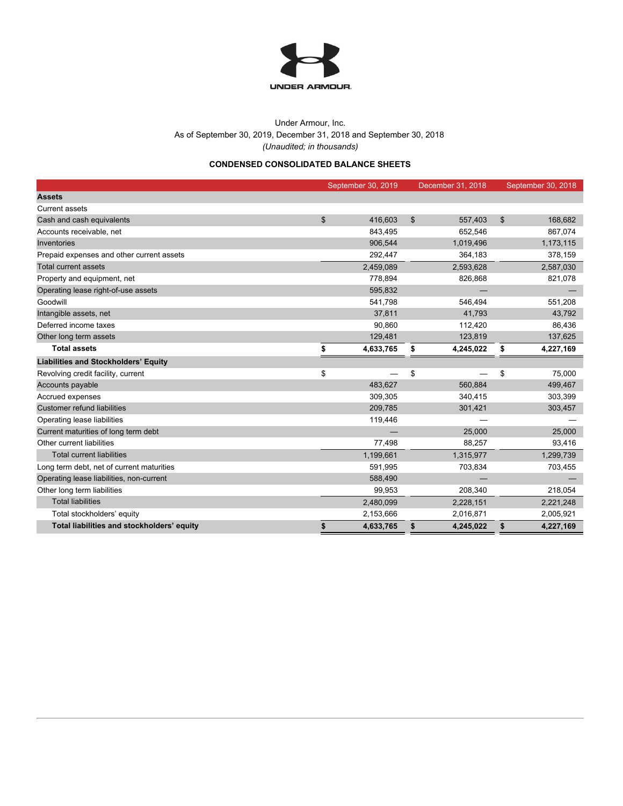

## Under Armour, Inc. As of September 30, 2019, December 31, 2018 and September 30, 2018 *(Unaudited; in thousands)*

# **CONDENSED CONSOLIDATED BALANCE SHEETS**

|                                             | September 30, 2019 | December 31, 2018 |            | September 30, 2018 |
|---------------------------------------------|--------------------|-------------------|------------|--------------------|
| <b>Assets</b>                               |                    |                   |            |                    |
| <b>Current assets</b>                       |                    |                   |            |                    |
| Cash and cash equivalents                   | \$<br>416,603      | \$<br>557,403     | $\sqrt{2}$ | 168,682            |
| Accounts receivable, net                    | 843,495            | 652,546           |            | 867,074            |
| Inventories                                 | 906,544            | 1,019,496         |            | 1,173,115          |
| Prepaid expenses and other current assets   | 292,447            | 364,183           |            | 378,159            |
| <b>Total current assets</b>                 | 2,459,089          | 2,593,628         |            | 2,587,030          |
| Property and equipment, net                 | 778,894            | 826,868           |            | 821,078            |
| Operating lease right-of-use assets         | 595,832            |                   |            |                    |
| Goodwill                                    | 541,798            | 546.494           |            | 551,208            |
| Intangible assets, net                      | 37,811             | 41,793            |            | 43,792             |
| Deferred income taxes                       | 90.860             | 112,420           |            | 86,436             |
| Other long term assets                      | 129,481            | 123,819           |            | 137,625            |
| <b>Total assets</b>                         | \$<br>4,633,765    | \$<br>4,245,022   | \$         | 4,227,169          |
| <b>Liabilities and Stockholders' Equity</b> |                    |                   |            |                    |
| Revolving credit facility, current          | \$                 | \$                | \$         | 75,000             |
| Accounts payable                            | 483,627            | 560,884           |            | 499,467            |
| Accrued expenses                            | 309,305            | 340,415           |            | 303,399            |
| <b>Customer refund liabilities</b>          | 209,785            | 301,421           |            | 303,457            |
| Operating lease liabilities                 | 119,446            |                   |            |                    |
| Current maturities of long term debt        |                    | 25,000            |            | 25,000             |
| Other current liabilities                   | 77,498             | 88,257            |            | 93,416             |
| <b>Total current liabilities</b>            | 1,199,661          | 1,315,977         |            | 1,299,739          |
| Long term debt, net of current maturities   | 591,995            | 703,834           |            | 703,455            |
| Operating lease liabilities, non-current    | 588,490            |                   |            |                    |
| Other long term liabilities                 | 99,953             | 208,340           |            | 218,054            |
| <b>Total liabilities</b>                    | 2,480,099          | 2,228,151         |            | 2,221,248          |
| Total stockholders' equity                  | 2,153,666          | 2,016,871         |            | 2,005,921          |
| Total liabilities and stockholders' equity  | \$<br>4,633,765    | \$<br>4,245,022   | \$         | 4,227,169          |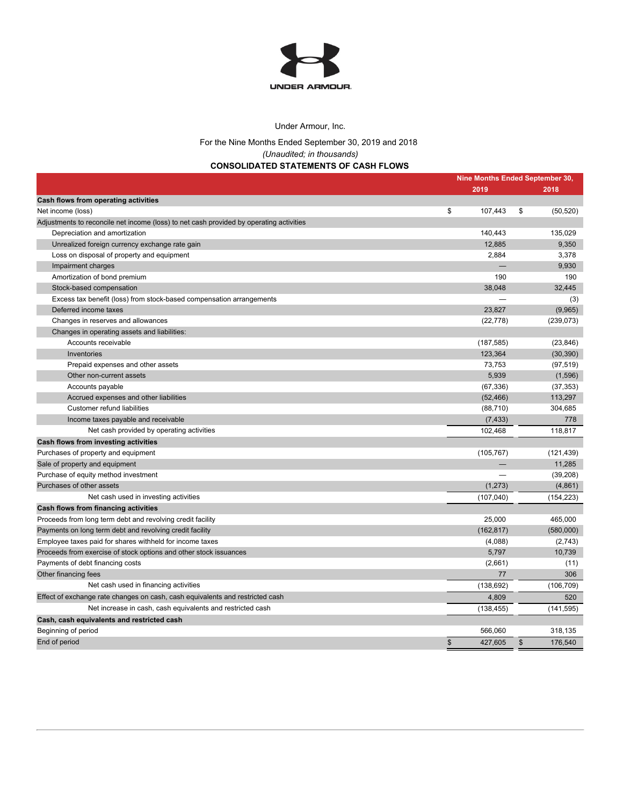

## Under Armour, Inc.

## For the Nine Months Ended September 30, 2019 and 2018

## *(Unaudited; in thousands)*

## **CONSOLIDATED STATEMENTS OF CASH FLOWS**

|                                                                                         |                          | Nine Months Ended September 30, |                         |
|-----------------------------------------------------------------------------------------|--------------------------|---------------------------------|-------------------------|
|                                                                                         | 2019                     |                                 | 2018                    |
| Cash flows from operating activities                                                    |                          |                                 |                         |
| Net income (loss)                                                                       | \$<br>107,443            |                                 | \$<br>(50, 520)         |
| Adjustments to reconcile net income (loss) to net cash provided by operating activities |                          |                                 |                         |
| Depreciation and amortization                                                           | 140.443                  |                                 | 135.029                 |
| Unrealized foreign currency exchange rate gain                                          | 12,885                   |                                 | 9,350                   |
| Loss on disposal of property and equipment                                              | 2,884                    |                                 | 3,378                   |
| Impairment charges                                                                      |                          |                                 | 9.930                   |
| Amortization of bond premium                                                            |                          | 190                             | 190                     |
| Stock-based compensation                                                                | 38.048                   |                                 | 32.445                  |
| Excess tax benefit (loss) from stock-based compensation arrangements                    |                          |                                 | (3)                     |
| Deferred income taxes                                                                   | 23,827                   |                                 | (9,965)                 |
| Changes in reserves and allowances                                                      | (22, 778)                |                                 | (239,073)               |
| Changes in operating assets and liabilities:                                            |                          |                                 |                         |
| Accounts receivable                                                                     | (187, 585)               |                                 | (23, 846)               |
| Inventories                                                                             | 123,364                  |                                 | (30, 390)               |
| Prepaid expenses and other assets                                                       | 73,753                   |                                 | (97, 519)               |
| Other non-current assets                                                                | 5,939                    |                                 | (1,596)                 |
| Accounts payable                                                                        | (67, 336)                |                                 | (37, 353)               |
| Accrued expenses and other liabilities                                                  | (52, 466)                |                                 | 113,297                 |
| Customer refund liabilities                                                             | (88, 710)                |                                 | 304,685                 |
| Income taxes payable and receivable                                                     | (7, 433)                 |                                 | 778                     |
| Net cash provided by operating activities                                               | 102,468                  |                                 | 118,817                 |
| Cash flows from investing activities                                                    |                          |                                 |                         |
| Purchases of property and equipment                                                     | (105, 767)               |                                 | (121, 439)              |
| Sale of property and equipment                                                          |                          |                                 | 11,285                  |
| Purchase of equity method investment                                                    |                          |                                 | (39, 208)               |
| Purchases of other assets                                                               | (1, 273)                 |                                 | (4, 861)                |
| Net cash used in investing activities                                                   | (107,040)                |                                 | (154, 223)              |
| Cash flows from financing activities                                                    |                          |                                 |                         |
| Proceeds from long term debt and revolving credit facility                              | 25,000                   |                                 | 465,000                 |
| Payments on long term debt and revolving credit facility                                | (162, 817)               |                                 | (580,000)               |
| Employee taxes paid for shares withheld for income taxes                                | (4,088)                  |                                 | (2,743)                 |
| Proceeds from exercise of stock options and other stock issuances                       | 5,797                    |                                 | 10,739                  |
| Payments of debt financing costs                                                        | (2,661)                  |                                 | (11)                    |
| Other financing fees                                                                    |                          | 77                              | 306                     |
| Net cash used in financing activities                                                   | (138, 692)               |                                 | (106, 709)              |
| Effect of exchange rate changes on cash, cash equivalents and restricted cash           | 4,809                    |                                 | 520                     |
| Net increase in cash, cash equivalents and restricted cash                              | (138, 455)               |                                 | (141, 595)              |
| Cash, cash equivalents and restricted cash                                              |                          |                                 |                         |
| Beginning of period                                                                     | 566,060                  |                                 | 318,135                 |
| End of period                                                                           | $\mathsf{\$}$<br>427,605 |                                 | $\mathbb{S}$<br>176,540 |
|                                                                                         |                          |                                 |                         |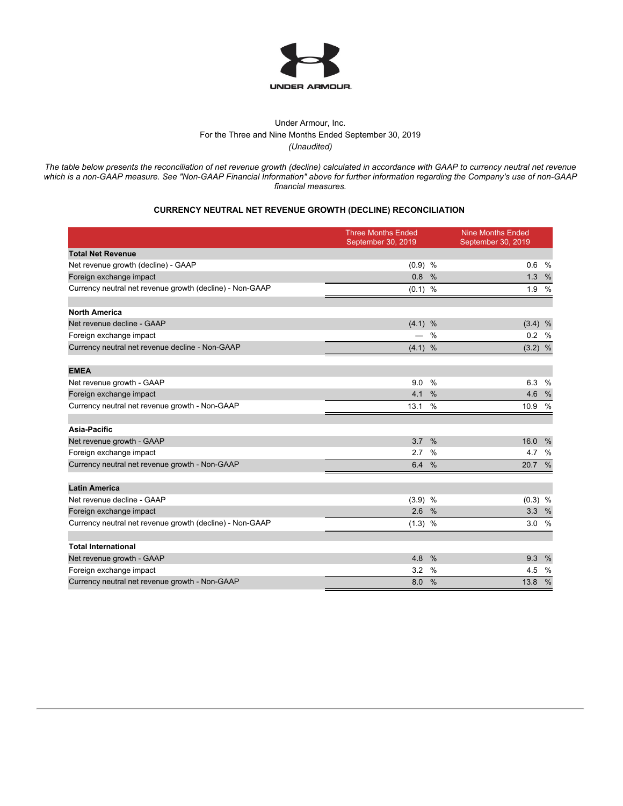

## Under Armour, Inc. For the Three and Nine Months Ended September 30, 2019 *(Unaudited)*

The table below presents the reconciliation of net revenue growth (decline) calculated in accordance with GAAP to currency neutral net revenue which is a non-GAAP measure. See "Non-GAAP Financial Information" above for further information regarding the Company's use of non-GAAP *financial measures.*

#### **CURRENCY NEUTRAL NET REVENUE GROWTH (DECLINE) RECONCILIATION**

|                                                          | <b>Three Months Ended</b><br>September 30, 2019 | <b>Nine Months Ended</b><br>September 30, 2019 |
|----------------------------------------------------------|-------------------------------------------------|------------------------------------------------|
| <b>Total Net Revenue</b>                                 |                                                 |                                                |
| Net revenue growth (decline) - GAAP                      | $(0.9)$ %                                       | %<br>0.6                                       |
| Foreign exchange impact                                  | 0.8%                                            | $\%$<br>1.3                                    |
| Currency neutral net revenue growth (decline) - Non-GAAP | $(0.1)$ %                                       | $\frac{0}{0}$<br>1.9                           |
| <b>North America</b>                                     |                                                 |                                                |
| Net revenue decline - GAAP                               | $(4.1)$ %                                       | $(3.4)$ %                                      |
| Foreign exchange impact                                  |                                                 | %<br>0.2<br>$\%$                               |
| Currency neutral net revenue decline - Non-GAAP          | $(4.1)$ %                                       | $\%$<br>(3.2)                                  |
| <b>EMEA</b>                                              |                                                 |                                                |
| Net revenue growth - GAAP                                | 9.0                                             | $\frac{0}{0}$<br>$\%$<br>6.3                   |
| Foreign exchange impact                                  | 4.1                                             | $\frac{0}{0}$<br>4.6<br>%                      |
| Currency neutral net revenue growth - Non-GAAP           | 13.1                                            | $\frac{0}{0}$<br>$\frac{0}{0}$<br>10.9         |
| Asia-Pacific                                             |                                                 |                                                |
| Net revenue growth - GAAP                                | 3.7                                             | $\frac{0}{0}$<br>%<br>16.0                     |
| Foreign exchange impact                                  | 2.7                                             | $\frac{0}{0}$<br>$\%$<br>4.7                   |
| Currency neutral net revenue growth - Non-GAAP           | 6.4                                             | $\frac{0}{0}$<br>$\frac{0}{0}$<br>20.7         |
| <b>Latin America</b>                                     |                                                 |                                                |
| Net revenue decline - GAAP                               | $(3.9)$ %                                       | $(0.3)$ %                                      |
| Foreign exchange impact                                  | 2.6                                             | $\frac{0}{0}$<br>3.3<br>%                      |
| Currency neutral net revenue growth (decline) - Non-GAAP | $(1.3)$ %                                       | $\frac{0}{0}$<br>3.0                           |
| <b>Total International</b>                               |                                                 |                                                |
| Net revenue growth - GAAP                                | 4.8                                             | $\frac{0}{0}$<br>9.3<br>%                      |
| Foreign exchange impact                                  | 3.2                                             | $\frac{0}{0}$<br>$\%$<br>4.5                   |
| Currency neutral net revenue growth - Non-GAAP           | 8.0                                             | $\frac{0}{0}$<br>$\%$<br>13.8                  |